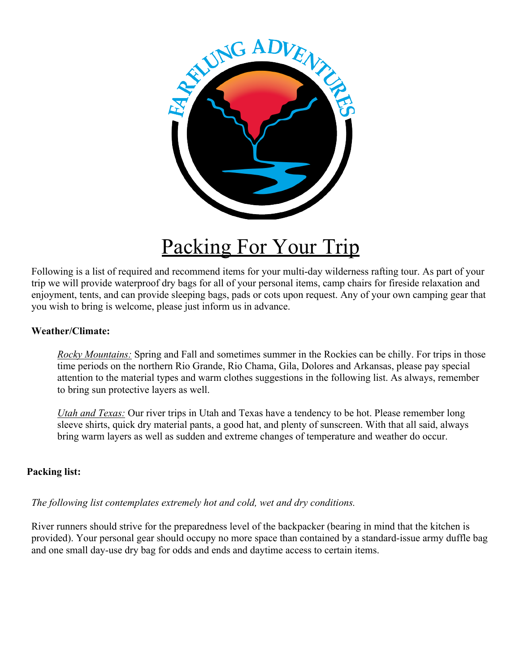

## Packing For Your Trip

Following is a list of required and recommend items for your multi-day wilderness rafting tour. As part of your trip we will provide waterproof dry bags for all of your personal items, camp chairs for fireside relaxation and enjoyment, tents, and can provide sleeping bags, pads or cots upon request. Any of your own camping gear that you wish to bring is welcome, please just inform us in advance.

#### **Weather/Climate:**

*Rocky Mountains:* Spring and Fall and sometimes summer in the Rockies can be chilly. For trips in those time periods on the northern Rio Grande, Rio Chama, Gila, Dolores and Arkansas, please pay special attention to the material types and warm clothes suggestions in the following list. As always, remember to bring sun protective layers as well.

*Utah and Texas:* Our river trips in Utah and Texas have a tendency to be hot. Please remember long sleeve shirts, quick dry material pants, a good hat, and plenty of sunscreen. With that all said, always bring warm layers as well as sudden and extreme changes of temperature and weather do occur.

#### **Packing list:**

*The following list contemplates extremely hot and cold, wet and dry conditions.*

River runners should strive for the preparedness level of the backpacker (bearing in mind that the kitchen is provided). Your personal gear should occupy no more space than contained by a standard-issue army duffle bag and one small day-use dry bag for odds and ends and daytime access to certain items.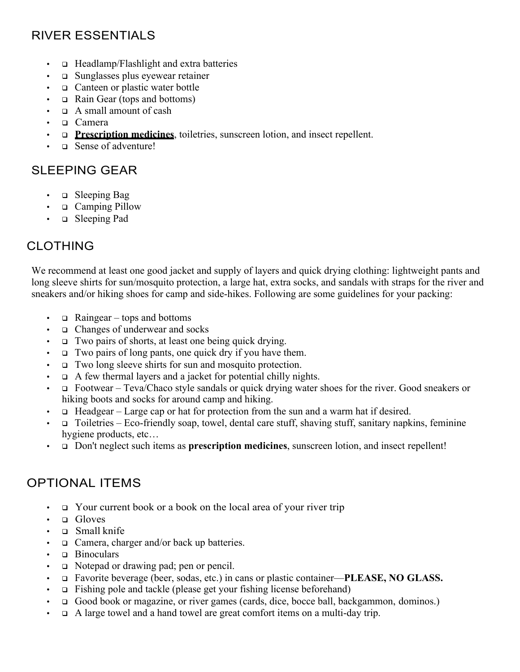## RIVER ESSENTIALS

- $\Box$  Headlamp/Flashlight and extra batteries
- $\cdot$  q Sunglasses plus eyewear retainer
- $\Box$  Canteen or plastic water bottle
- Rain Gear (tops and bottoms)
- $\Box$  A small amount of cash
- **Q** Camera
- **p Prescription medicines**, toiletries, sunscreen lotion, and insect repellent.
- $\Box$  Sense of adventure!

### SLEEPING GEAR

- $\Box$  Sleeping Bag
- **Q** Camping Pillow
- $\Box$  Sleeping Pad

## CLOTHING

We recommend at least one good jacket and supply of layers and quick drying clothing: lightweight pants and long sleeve shirts for sun/mosquito protection, a large hat, extra socks, and sandals with straps for the river and sneakers and/or hiking shoes for camp and side-hikes. Following are some guidelines for your packing:

- $\Box$  Raingear tops and bottoms
- $\Box$  Changes of underwear and socks
- $\Box$  Two pairs of shorts, at least one being quick drying.
- $\Box$  Two pairs of long pants, one quick dry if you have them.
- $\Box$  Two long sleeve shirts for sun and mosquito protection.
- $\Box$  A few thermal layers and a jacket for potential chilly nights.
- <sup>q</sup> Footwear Teva/Chaco style sandals or quick drying water shoes for the river. Good sneakers or hiking boots and socks for around camp and hiking.
- $\Box$  Headgear Large cap or hat for protection from the sun and a warm hat if desired.
- $\Box$  Toiletries Eco-friendly soap, towel, dental care stuff, shaving stuff, sanitary napkins, feminine hygiene products, etc…
- **q** Don't neglect such items as **prescription medicines**, sunscreen lotion, and insect repellent!

## OPTIONAL ITEMS

- $\Box$  Your current book or a book on the local area of your river trip
- **Q** Gloves
- <sup>q</sup> Small knife
- $\Box$  Camera, charger and/or back up batteries.
- $\Box$  Binoculars
- **q** Notepad or drawing pad; pen or pencil.
- <sup>q</sup> Favorite beverage (beer, sodas, etc.) in cans or plastic container—**PLEASE, NO GLASS.**
- $\Box$  Fishing pole and tackle (please get your fishing license beforehand)
- **q** Good book or magazine, or river games (cards, dice, bocce ball, backgammon, dominos.)
- $\Box$  A large towel and a hand towel are great comfort items on a multi-day trip.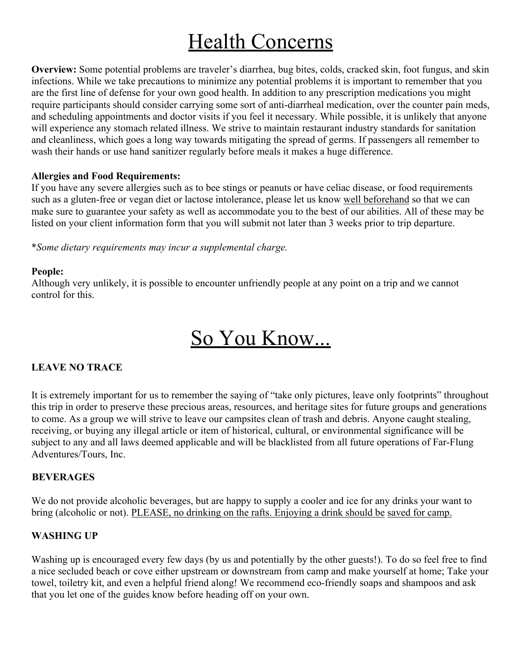# **Health Concerns**

**Overview:** Some potential problems are traveler's diarrhea, bug bites, colds, cracked skin, foot fungus, and skin infections. While we take precautions to minimize any potential problems it is important to remember that you are the first line of defense for your own good health. In addition to any prescription medications you might require participants should consider carrying some sort of anti-diarrheal medication, over the counter pain meds, and scheduling appointments and doctor visits if you feel it necessary. While possible, it is unlikely that anyone will experience any stomach related illness. We strive to maintain restaurant industry standards for sanitation and cleanliness, which goes a long way towards mitigating the spread of germs. If passengers all remember to wash their hands or use hand sanitizer regularly before meals it makes a huge difference.

#### **Allergies and Food Requirements:**

If you have any severe allergies such as to bee stings or peanuts or have celiac disease, or food requirements such as a gluten-free or vegan diet or lactose intolerance, please let us know well beforehand so that we can make sure to guarantee your safety as well as accommodate you to the best of our abilities. All of these may be listed on your client information form that you will submit not later than 3 weeks prior to trip departure.

\**Some dietary requirements may incur a supplemental charge.*

#### **People:**

Although very unlikely, it is possible to encounter unfriendly people at any point on a trip and we cannot control for this.

## So You Know...

#### **LEAVE NO TRACE**

It is extremely important for us to remember the saying of "take only pictures, leave only footprints" throughout this trip in order to preserve these precious areas, resources, and heritage sites for future groups and generations to come. As a group we will strive to leave our campsites clean of trash and debris. Anyone caught stealing, receiving, or buying any illegal article or item of historical, cultural, or environmental significance will be subject to any and all laws deemed applicable and will be blacklisted from all future operations of Far-Flung Adventures/Tours, Inc.

#### **BEVERAGES**

We do not provide alcoholic beverages, but are happy to supply a cooler and ice for any drinks your want to bring (alcoholic or not). PLEASE, no drinking on the rafts. Enjoying a drink should be saved for camp.

#### **WASHING UP**

Washing up is encouraged every few days (by us and potentially by the other guests!). To do so feel free to find a nice secluded beach or cove either upstream or downstream from camp and make yourself at home; Take your towel, toiletry kit, and even a helpful friend along! We recommend eco-friendly soaps and shampoos and ask that you let one of the guides know before heading off on your own.